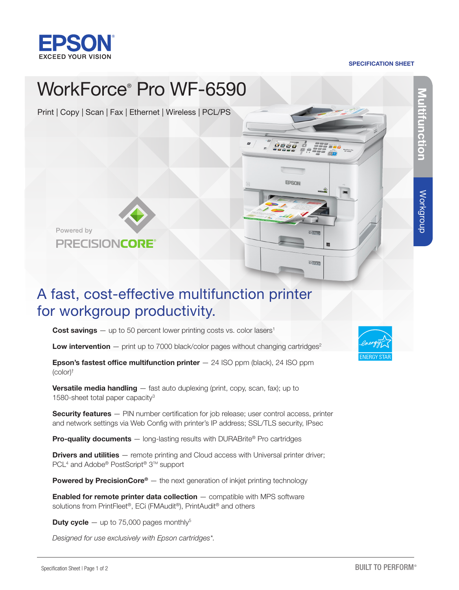

#### SPECIFICATION SHEET



# A fast, cost-effective multifunction printer for workgroup productivity.

**Cost savings**  $-$  up to 50 percent lower printing costs vs. color lasers<sup>1</sup>

**Low intervention**  $-$  print up to 7000 black/color pages without changing cartridges<sup>2</sup>

**Epson's fastest office multifunction printer**  $-$  24 ISO ppm (black), 24 ISO ppm (color)†

**Versatile media handling**  $-$  fast auto duplexing (print, copy, scan, fax); up to 1580-sheet total paper capacity3

Security features - PIN number certification for job release; user control access, printer and network settings via Web Config with printer's IP address; SSL/TLS security, IPsec

**Pro-quality documents** — long-lasting results with DURABrite® Pro cartridges

**Drivers and utilities** — remote printing and Cloud access with Universal printer driver; PCL<sup>4</sup> and Adobe<sup>®</sup> PostScript<sup>®</sup> 3™ support

Powered by PrecisionCore® — the next generation of inkjet printing technology

**Enabled for remote printer data collection** - compatible with MPS software solutions from PrintFleet®, ECi (FMAudit®), PrintAudit® and others

**Duty cycle**  $-$  up to 75,000 pages monthly<sup>5</sup>

*Designed for use exclusively with Epson cartridges\*.*